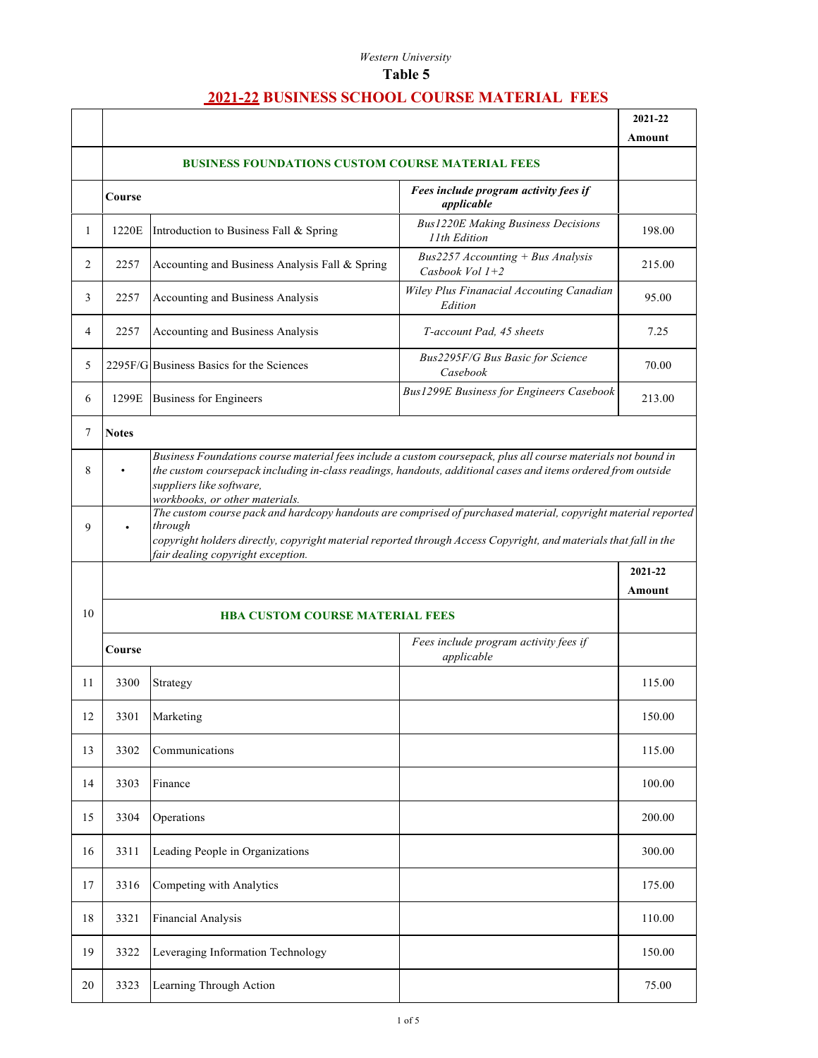|        |                                        |                                                                                                                                                                                                                                                                                             |                                                           | 2021-22 |  |
|--------|----------------------------------------|---------------------------------------------------------------------------------------------------------------------------------------------------------------------------------------------------------------------------------------------------------------------------------------------|-----------------------------------------------------------|---------|--|
|        |                                        |                                                                                                                                                                                                                                                                                             |                                                           | Amount  |  |
|        |                                        | <b>BUSINESS FOUNDATIONS CUSTOM COURSE MATERIAL FEES</b>                                                                                                                                                                                                                                     |                                                           |         |  |
|        | Course                                 |                                                                                                                                                                                                                                                                                             | Fees include program activity fees if<br>applicable       |         |  |
| 1      | 1220E                                  | Introduction to Business Fall & Spring                                                                                                                                                                                                                                                      | <b>Bus1220E Making Business Decisions</b><br>11th Edition | 198.00  |  |
| 2      | 2257                                   | Accounting and Business Analysis Fall & Spring                                                                                                                                                                                                                                              | $Bus2257$ Accounting + Bus Analysis<br>Casbook Vol $1+2$  | 215.00  |  |
| 3      | 2257                                   | Accounting and Business Analysis                                                                                                                                                                                                                                                            | Wiley Plus Finanacial Accouting Canadian<br>Edition       | 95.00   |  |
| 4      | 2257                                   | Accounting and Business Analysis                                                                                                                                                                                                                                                            | T-account Pad, 45 sheets                                  | 7.25    |  |
| 5      |                                        | 2295F/G Business Basics for the Sciences                                                                                                                                                                                                                                                    | Bus2295F/G Bus Basic for Science<br>Casebook              | 70.00   |  |
| 6      | 1299E                                  | <b>Business for Engineers</b>                                                                                                                                                                                                                                                               | <b>Bus1299E Business for Engineers Casebook</b>           | 213.00  |  |
| 7      | <b>Notes</b>                           |                                                                                                                                                                                                                                                                                             |                                                           |         |  |
| 8      |                                        | Business Foundations course material fees include a custom coursepack, plus all course materials not bound in<br>the custom coursepack including in-class readings, handouts, additional cases and items ordered from outside<br>suppliers like software,<br>workbooks, or other materials. |                                                           |         |  |
| 9      |                                        | The custom course pack and hardcopy handouts are comprised of purchased material, copyright material reported<br>through<br>copyright holders directly, copyright material reported through Access Copyright, and materials that fall in the<br>fair dealing copyright exception.           |                                                           |         |  |
|        |                                        |                                                                                                                                                                                                                                                                                             |                                                           | 2021-22 |  |
|        |                                        |                                                                                                                                                                                                                                                                                             |                                                           | Amount  |  |
| 10     | <b>HBA CUSTOM COURSE MATERIAL FEES</b> |                                                                                                                                                                                                                                                                                             |                                                           |         |  |
|        | Course                                 |                                                                                                                                                                                                                                                                                             | Fees include program activity fees if<br>applicable       |         |  |
| 11     | 3300                                   | Strategy                                                                                                                                                                                                                                                                                    |                                                           | 115.00  |  |
| $12\,$ | 3301                                   | Marketing                                                                                                                                                                                                                                                                                   |                                                           | 150.00  |  |
| 13     | 3302                                   | Communications                                                                                                                                                                                                                                                                              |                                                           | 115.00  |  |
| 14     | 3303                                   | Finance                                                                                                                                                                                                                                                                                     |                                                           | 100.00  |  |
| 15     | 3304                                   | Operations                                                                                                                                                                                                                                                                                  |                                                           | 200.00  |  |
| 16     | 3311                                   | Leading People in Organizations                                                                                                                                                                                                                                                             |                                                           | 300.00  |  |
| 17     | 3316                                   | Competing with Analytics                                                                                                                                                                                                                                                                    |                                                           | 175.00  |  |
| 18     | 3321                                   | Financial Analysis                                                                                                                                                                                                                                                                          |                                                           | 110.00  |  |
| 19     | 3322                                   | Leveraging Information Technology                                                                                                                                                                                                                                                           |                                                           | 150.00  |  |
| 20     | 3323                                   | Learning Through Action                                                                                                                                                                                                                                                                     |                                                           | 75.00   |  |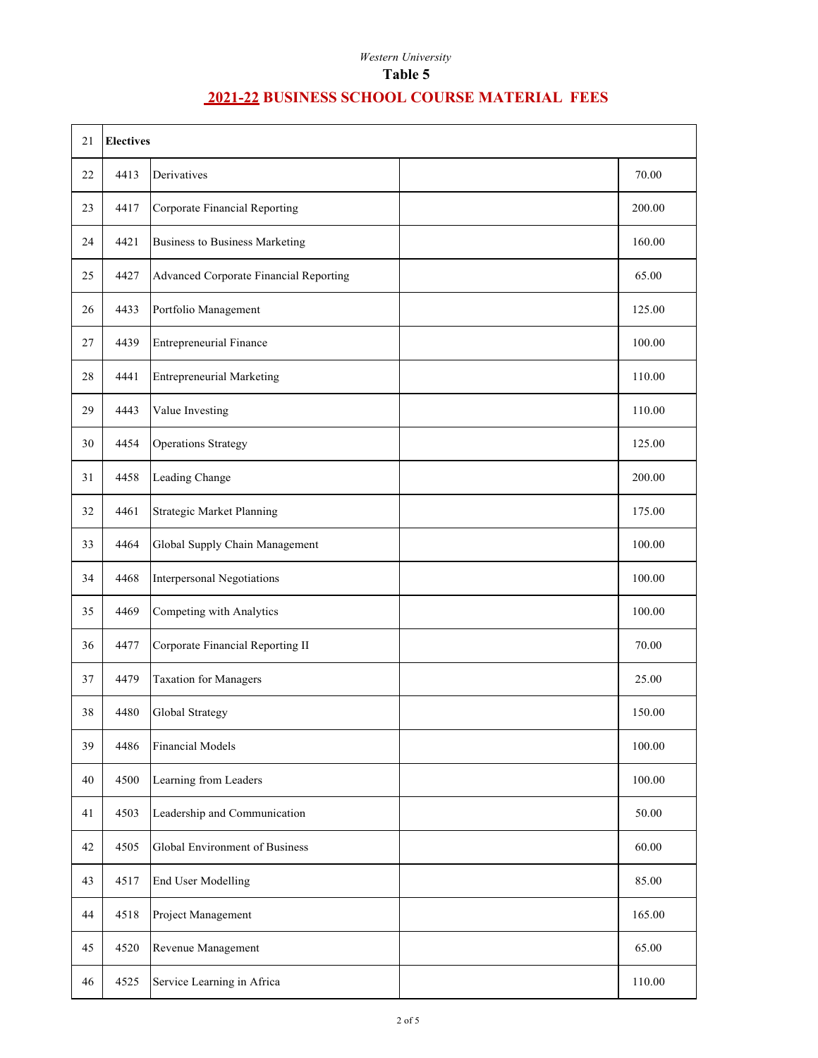| 21 | <b>Electives</b> |                                        |  |        |
|----|------------------|----------------------------------------|--|--------|
| 22 | 4413             | Derivatives                            |  | 70.00  |
| 23 | 4417             | Corporate Financial Reporting          |  | 200.00 |
| 24 | 4421             | <b>Business to Business Marketing</b>  |  | 160.00 |
| 25 | 4427             | Advanced Corporate Financial Reporting |  | 65.00  |
| 26 | 4433             | Portfolio Management                   |  | 125.00 |
| 27 | 4439             | <b>Entrepreneurial Finance</b>         |  | 100.00 |
| 28 | 4441             | <b>Entrepreneurial Marketing</b>       |  | 110.00 |
| 29 | 4443             | Value Investing                        |  | 110.00 |
| 30 | 4454             | <b>Operations Strategy</b>             |  | 125.00 |
| 31 | 4458             | Leading Change                         |  | 200.00 |
| 32 | 4461             | Strategic Market Planning              |  | 175.00 |
| 33 | 4464             | Global Supply Chain Management         |  | 100.00 |
| 34 | 4468             | Interpersonal Negotiations             |  | 100.00 |
| 35 | 4469             | Competing with Analytics               |  | 100.00 |
| 36 | 4477             | Corporate Financial Reporting II       |  | 70.00  |
| 37 | 4479             | <b>Taxation for Managers</b>           |  | 25.00  |
| 38 | 4480             | Global Strategy                        |  | 150.00 |
| 39 | 4486             | <b>Financial Models</b>                |  | 100.00 |
| 40 | 4500             | Learning from Leaders                  |  | 100.00 |
| 41 | 4503             | Leadership and Communication           |  | 50.00  |
| 42 | 4505             | Global Environment of Business         |  | 60.00  |
| 43 | 4517             | End User Modelling                     |  | 85.00  |
| 44 | 4518             | Project Management                     |  | 165.00 |
| 45 | 4520             | Revenue Management                     |  | 65.00  |
| 46 | 4525             | Service Learning in Africa             |  | 110.00 |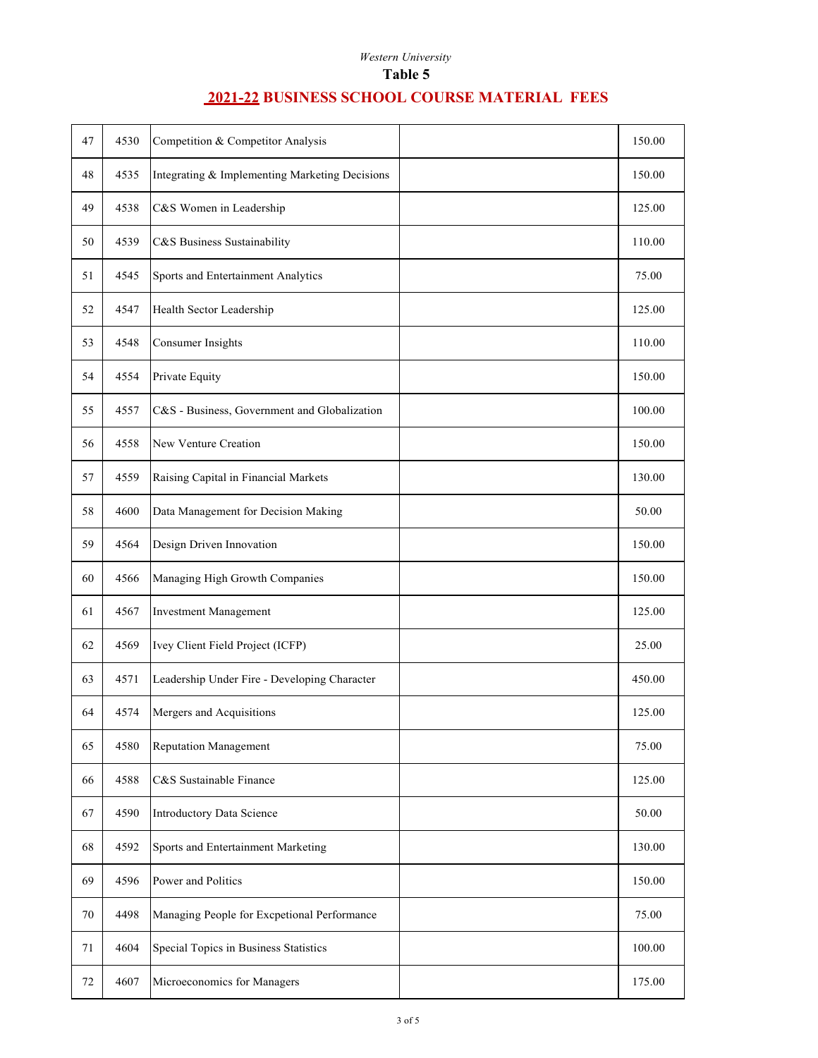| 47 | 4530 | Competition & Competitor Analysis              | 150.00 |
|----|------|------------------------------------------------|--------|
| 48 | 4535 | Integrating & Implementing Marketing Decisions | 150.00 |
| 49 | 4538 | C&S Women in Leadership                        | 125.00 |
| 50 | 4539 | C&S Business Sustainability                    | 110.00 |
| 51 | 4545 | Sports and Entertainment Analytics             | 75.00  |
| 52 | 4547 | Health Sector Leadership                       | 125.00 |
| 53 | 4548 | <b>Consumer Insights</b>                       | 110.00 |
| 54 | 4554 | Private Equity                                 | 150.00 |
| 55 | 4557 | C&S - Business, Government and Globalization   | 100.00 |
| 56 | 4558 | New Venture Creation                           | 150.00 |
| 57 | 4559 | Raising Capital in Financial Markets           | 130.00 |
| 58 | 4600 | Data Management for Decision Making            | 50.00  |
| 59 | 4564 | Design Driven Innovation                       | 150.00 |
| 60 | 4566 | Managing High Growth Companies                 | 150.00 |
| 61 | 4567 | <b>Investment Management</b>                   | 125.00 |
| 62 | 4569 | Ivey Client Field Project (ICFP)               | 25.00  |
| 63 | 4571 | Leadership Under Fire - Developing Character   | 450.00 |
| 64 | 4574 | Mergers and Acquisitions                       | 125.00 |
| 65 | 4580 | <b>Reputation Management</b>                   | 75.00  |
| 66 | 4588 | C&S Sustainable Finance                        | 125.00 |
| 67 | 4590 | Introductory Data Science                      | 50.00  |
| 68 | 4592 | Sports and Entertainment Marketing             | 130.00 |
| 69 | 4596 | Power and Politics                             | 150.00 |
| 70 | 4498 | Managing People for Excpetional Performance    | 75.00  |
| 71 | 4604 | Special Topics in Business Statistics          | 100.00 |
| 72 | 4607 | Microeconomics for Managers                    | 175.00 |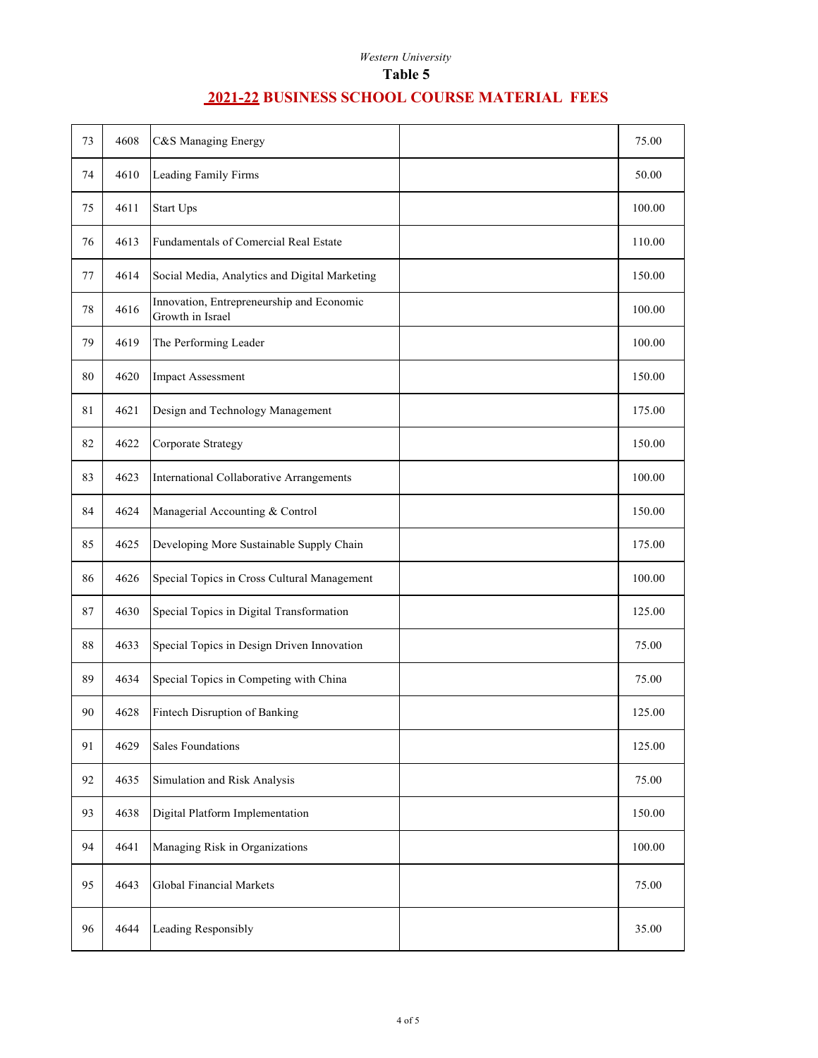| 73 | 4608 | C&S Managing Energy                                           | 75.00  |
|----|------|---------------------------------------------------------------|--------|
| 74 | 4610 | Leading Family Firms                                          | 50.00  |
| 75 | 4611 | Start Ups                                                     | 100.00 |
| 76 | 4613 | Fundamentals of Comercial Real Estate                         | 110.00 |
| 77 | 4614 | Social Media, Analytics and Digital Marketing                 | 150.00 |
| 78 | 4616 | Innovation, Entrepreneurship and Economic<br>Growth in Israel | 100.00 |
| 79 | 4619 | The Performing Leader                                         | 100.00 |
| 80 | 4620 | <b>Impact Assessment</b>                                      | 150.00 |
| 81 | 4621 | Design and Technology Management                              | 175.00 |
| 82 | 4622 | Corporate Strategy                                            | 150.00 |
| 83 | 4623 | International Collaborative Arrangements                      | 100.00 |
| 84 | 4624 | Managerial Accounting & Control                               | 150.00 |
| 85 | 4625 | Developing More Sustainable Supply Chain                      | 175.00 |
| 86 | 4626 | Special Topics in Cross Cultural Management                   | 100.00 |
| 87 | 4630 | Special Topics in Digital Transformation                      | 125.00 |
| 88 | 4633 | Special Topics in Design Driven Innovation                    | 75.00  |
| 89 | 4634 | Special Topics in Competing with China                        | 75.00  |
| 90 | 4628 | Fintech Disruption of Banking                                 | 125.00 |
| 91 | 4629 | <b>Sales Foundations</b>                                      | 125.00 |
| 92 | 4635 | Simulation and Risk Analysis                                  | 75.00  |
| 93 | 4638 | Digital Platform Implementation                               | 150.00 |
| 94 | 4641 | Managing Risk in Organizations                                | 100.00 |
| 95 | 4643 | <b>Global Financial Markets</b>                               | 75.00  |
| 96 | 4644 | Leading Responsibly                                           | 35.00  |